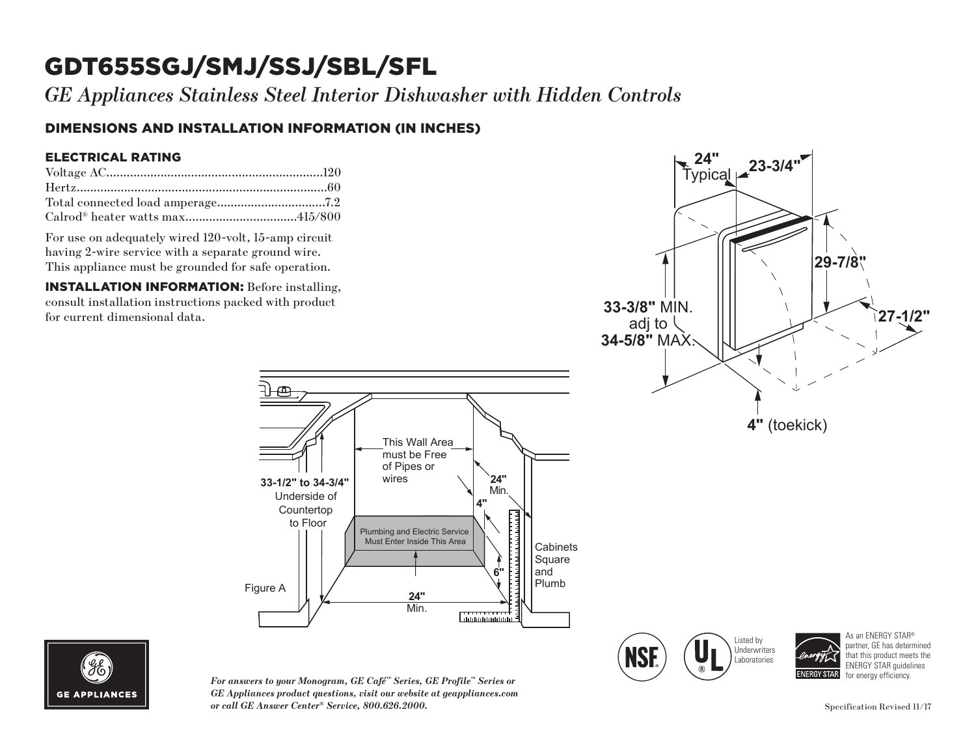# GDT655SGJ/SMJ/SSJ/SBL/SFL

*GE Appliances Stainless Steel Interior Dishwasher with Hidden Controls*

### DIMENSIONS AND INSTALLATION INFORMATION (IN INCHES)

#### ELECTRICAL RATING

For use on adequately wired 120-volt, 15-amp circuit having 2-wire service with a separate ground wire. This appliance must be grounded for safe operation.

INSTALLATION INFORMATION: Before installing, consult installation instructions packed with product for current dimensional data.





*For answers to your Monogram, GE Café™ Series, GE Profile™ Series or GE Appliances product questions, visit our website at geappliances.com or call GE Answer Center® Service, 800.626.2000.* Specification Revised 11/17

wires **33-1/2" to 34-3/4"**

Underside of Countertop to Floor

Figure A

This Wall Area must be Free of Pipes or

Plumbing and Electric Service Must Enter Inside This Area

> **24"** Min.